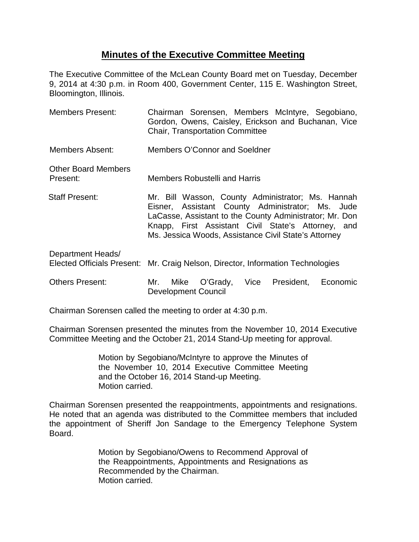## **Minutes of the Executive Committee Meeting**

The Executive Committee of the McLean County Board met on Tuesday, December 9, 2014 at 4:30 p.m. in Room 400, Government Center, 115 E. Washington Street, Bloomington, Illinois.

| <b>Members Present:</b>                                | Chairman Sorensen, Members McIntyre, Segobiano,<br>Gordon, Owens, Caisley, Erickson and Buchanan, Vice<br><b>Chair, Transportation Committee</b>                                                                                                                               |
|--------------------------------------------------------|--------------------------------------------------------------------------------------------------------------------------------------------------------------------------------------------------------------------------------------------------------------------------------|
| Members Absent:                                        | Members O'Connor and Soeldner                                                                                                                                                                                                                                                  |
| <b>Other Board Members</b><br>Present:                 | <b>Members Robustelli and Harris</b>                                                                                                                                                                                                                                           |
| <b>Staff Present:</b>                                  | Mr. Bill Wasson, County Administrator; Ms. Hannah<br>Eisner, Assistant County Administrator; Ms. Jude<br>LaCasse, Assistant to the County Administrator; Mr. Don<br>Knapp, First Assistant Civil State's Attorney, and<br>Ms. Jessica Woods, Assistance Civil State's Attorney |
| Department Heads/<br><b>Elected Officials Present:</b> | Mr. Craig Nelson, Director, Information Technologies                                                                                                                                                                                                                           |
| <b>Others Present:</b>                                 | Mike O'Grady,<br>Vice<br>President, Economic<br>Mr.<br><b>Development Council</b>                                                                                                                                                                                              |

Chairman Sorensen called the meeting to order at 4:30 p.m.

Chairman Sorensen presented the minutes from the November 10, 2014 Executive Committee Meeting and the October 21, 2014 Stand-Up meeting for approval.

> Motion by Segobiano/McIntyre to approve the Minutes of the November 10, 2014 Executive Committee Meeting and the October 16, 2014 Stand-up Meeting. Motion carried.

Chairman Sorensen presented the reappointments, appointments and resignations. He noted that an agenda was distributed to the Committee members that included the appointment of Sheriff Jon Sandage to the Emergency Telephone System Board.

> Motion by Segobiano/Owens to Recommend Approval of the Reappointments, Appointments and Resignations as Recommended by the Chairman. Motion carried.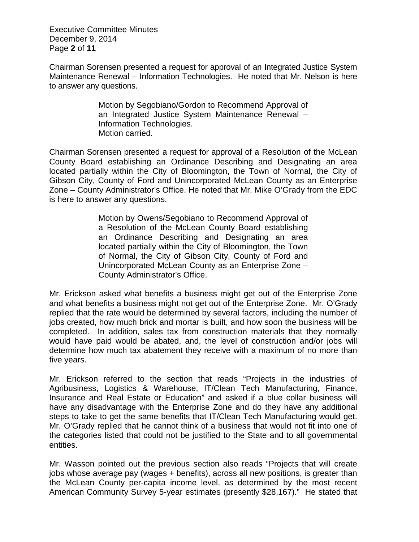Executive Committee Minutes December 9, 2014 Page **2** of **11**

Chairman Sorensen presented a request for approval of an Integrated Justice System Maintenance Renewal – Information Technologies. He noted that Mr. Nelson is here to answer any questions.

> Motion by Segobiano/Gordon to Recommend Approval of an Integrated Justice System Maintenance Renewal – Information Technologies. Motion carried.

Chairman Sorensen presented a request for approval of a Resolution of the McLean County Board establishing an Ordinance Describing and Designating an area located partially within the City of Bloomington, the Town of Normal, the City of Gibson City, County of Ford and Unincorporated McLean County as an Enterprise Zone – County Administrator's Office. He noted that Mr. Mike O'Grady from the EDC is here to answer any questions.

> Motion by Owens/Segobiano to Recommend Approval of a Resolution of the McLean County Board establishing an Ordinance Describing and Designating an area located partially within the City of Bloomington, the Town of Normal, the City of Gibson City, County of Ford and Unincorporated McLean County as an Enterprise Zone – County Administrator's Office.

Mr. Erickson asked what benefits a business might get out of the Enterprise Zone and what benefits a business might not get out of the Enterprise Zone. Mr. O'Grady replied that the rate would be determined by several factors, including the number of jobs created, how much brick and mortar is built, and how soon the business will be completed. In addition, sales tax from construction materials that they normally would have paid would be abated, and, the level of construction and/or jobs will determine how much tax abatement they receive with a maximum of no more than five years.

Mr. Erickson referred to the section that reads "Projects in the industries of Agribusiness, Logistics & Warehouse, IT/Clean Tech Manufacturing, Finance, Insurance and Real Estate or Education" and asked if a blue collar business will have any disadvantage with the Enterprise Zone and do they have any additional steps to take to get the same benefits that IT/Clean Tech Manufacturing would get. Mr. O'Grady replied that he cannot think of a business that would not fit into one of the categories listed that could not be justified to the State and to all governmental entities.

Mr. Wasson pointed out the previous section also reads "Projects that will create jobs whose average pay (wages + benefits), across all new positions, is greater than the McLean County per-capita income level, as determined by the most recent American Community Survey 5-year estimates (presently \$28,167)." He stated that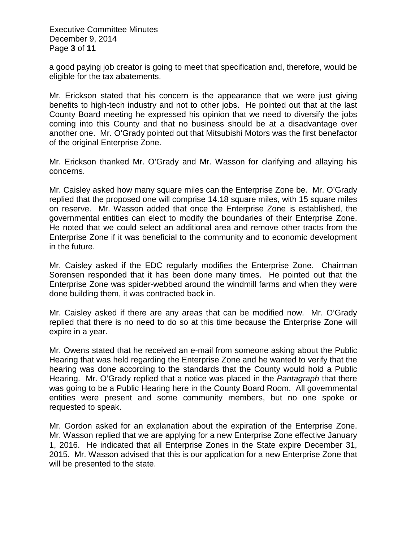Executive Committee Minutes December 9, 2014 Page **3** of **11**

a good paying job creator is going to meet that specification and, therefore, would be eligible for the tax abatements.

Mr. Erickson stated that his concern is the appearance that we were just giving benefits to high-tech industry and not to other jobs. He pointed out that at the last County Board meeting he expressed his opinion that we need to diversify the jobs coming into this County and that no business should be at a disadvantage over another one. Mr. O'Grady pointed out that Mitsubishi Motors was the first benefactor of the original Enterprise Zone.

Mr. Erickson thanked Mr. O'Grady and Mr. Wasson for clarifying and allaying his concerns.

Mr. Caisley asked how many square miles can the Enterprise Zone be. Mr. O'Grady replied that the proposed one will comprise 14.18 square miles, with 15 square miles on reserve. Mr. Wasson added that once the Enterprise Zone is established, the governmental entities can elect to modify the boundaries of their Enterprise Zone. He noted that we could select an additional area and remove other tracts from the Enterprise Zone if it was beneficial to the community and to economic development in the future.

Mr. Caisley asked if the EDC regularly modifies the Enterprise Zone. Chairman Sorensen responded that it has been done many times. He pointed out that the Enterprise Zone was spider-webbed around the windmill farms and when they were done building them, it was contracted back in.

Mr. Caisley asked if there are any areas that can be modified now. Mr. O'Grady replied that there is no need to do so at this time because the Enterprise Zone will expire in a year.

Mr. Owens stated that he received an e-mail from someone asking about the Public Hearing that was held regarding the Enterprise Zone and he wanted to verify that the hearing was done according to the standards that the County would hold a Public Hearing. Mr. O'Grady replied that a notice was placed in the *Pantagraph* that there was going to be a Public Hearing here in the County Board Room. All governmental entities were present and some community members, but no one spoke or requested to speak.

Mr. Gordon asked for an explanation about the expiration of the Enterprise Zone. Mr. Wasson replied that we are applying for a new Enterprise Zone effective January 1, 2016. He indicated that all Enterprise Zones in the State expire December 31, 2015. Mr. Wasson advised that this is our application for a new Enterprise Zone that will be presented to the state.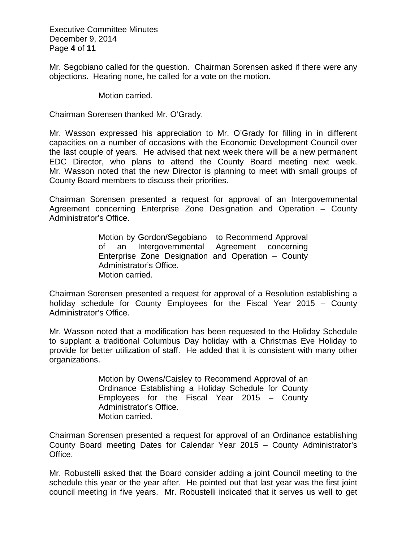Executive Committee Minutes December 9, 2014 Page **4** of **11**

Mr. Segobiano called for the question. Chairman Sorensen asked if there were any objections. Hearing none, he called for a vote on the motion.

Motion carried.

Chairman Sorensen thanked Mr. O'Grady.

Mr. Wasson expressed his appreciation to Mr. O'Grady for filling in in different capacities on a number of occasions with the Economic Development Council over the last couple of years. He advised that next week there will be a new permanent EDC Director, who plans to attend the County Board meeting next week. Mr. Wasson noted that the new Director is planning to meet with small groups of County Board members to discuss their priorities.

Chairman Sorensen presented a request for approval of an Intergovernmental Agreement concerning Enterprise Zone Designation and Operation – County Administrator's Office.

> Motion by Gordon/Segobiano to Recommend Approval of an Intergovernmental Agreement concerning Enterprise Zone Designation and Operation – County Administrator's Office. Motion carried.

Chairman Sorensen presented a request for approval of a Resolution establishing a holiday schedule for County Employees for the Fiscal Year 2015 – County Administrator's Office.

Mr. Wasson noted that a modification has been requested to the Holiday Schedule to supplant a traditional Columbus Day holiday with a Christmas Eve Holiday to provide for better utilization of staff. He added that it is consistent with many other organizations.

> Motion by Owens/Caisley to Recommend Approval of an Ordinance Establishing a Holiday Schedule for County Employees for the Fiscal Year 2015 – County Administrator's Office. Motion carried.

Chairman Sorensen presented a request for approval of an Ordinance establishing County Board meeting Dates for Calendar Year 2015 – County Administrator's Office.

Mr. Robustelli asked that the Board consider adding a joint Council meeting to the schedule this year or the year after. He pointed out that last year was the first joint council meeting in five years. Mr. Robustelli indicated that it serves us well to get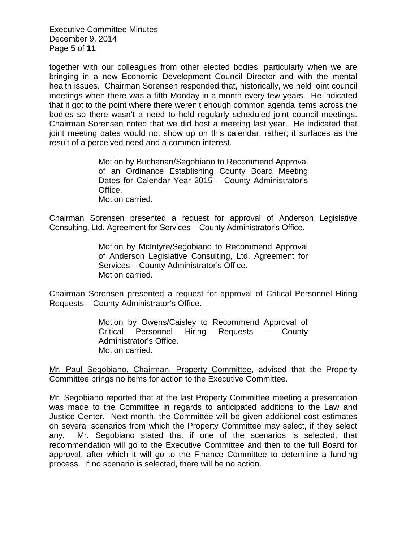Executive Committee Minutes December 9, 2014 Page **5** of **11**

together with our colleagues from other elected bodies, particularly when we are bringing in a new Economic Development Council Director and with the mental health issues. Chairman Sorensen responded that, historically, we held joint council meetings when there was a fifth Monday in a month every few years. He indicated that it got to the point where there weren't enough common agenda items across the bodies so there wasn't a need to hold regularly scheduled joint council meetings. Chairman Sorensen noted that we did host a meeting last year. He indicated that joint meeting dates would not show up on this calendar, rather; it surfaces as the result of a perceived need and a common interest.

> Motion by Buchanan/Segobiano to Recommend Approval of an Ordinance Establishing County Board Meeting Dates for Calendar Year 2015 – County Administrator's Office. Motion carried.

Chairman Sorensen presented a request for approval of Anderson Legislative Consulting, Ltd. Agreement for Services – County Administrator's Office.

> Motion by McIntyre/Segobiano to Recommend Approval of Anderson Legislative Consulting, Ltd. Agreement for Services – County Administrator's Office. Motion carried.

Chairman Sorensen presented a request for approval of Critical Personnel Hiring Requests – County Administrator's Office.

> Motion by Owens/Caisley to Recommend Approval of Critical Personnel Hiring Requests – County Administrator's Office. Motion carried.

Mr. Paul Segobiano, Chairman, Property Committee, advised that the Property Committee brings no items for action to the Executive Committee.

Mr. Segobiano reported that at the last Property Committee meeting a presentation was made to the Committee in regards to anticipated additions to the Law and Justice Center. Next month, the Committee will be given additional cost estimates on several scenarios from which the Property Committee may select, if they select any. Mr. Segobiano stated that if one of the scenarios is selected, that recommendation will go to the Executive Committee and then to the full Board for approval, after which it will go to the Finance Committee to determine a funding process. If no scenario is selected, there will be no action.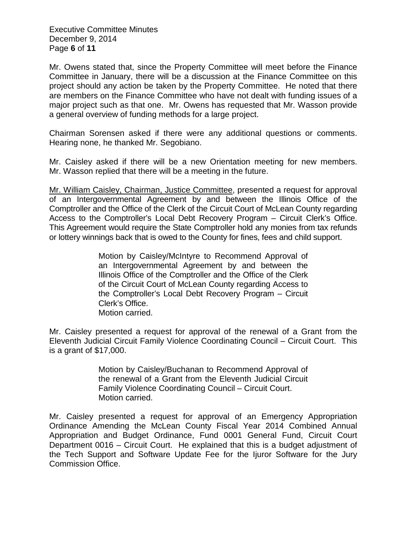Executive Committee Minutes December 9, 2014 Page **6** of **11**

Mr. Owens stated that, since the Property Committee will meet before the Finance Committee in January, there will be a discussion at the Finance Committee on this project should any action be taken by the Property Committee. He noted that there are members on the Finance Committee who have not dealt with funding issues of a major project such as that one. Mr. Owens has requested that Mr. Wasson provide a general overview of funding methods for a large project.

Chairman Sorensen asked if there were any additional questions or comments. Hearing none, he thanked Mr. Segobiano.

Mr. Caisley asked if there will be a new Orientation meeting for new members. Mr. Wasson replied that there will be a meeting in the future.

Mr. William Caisley, Chairman, Justice Committee, presented a request for approval of an Intergovernmental Agreement by and between the Illinois Office of the Comptroller and the Office of the Clerk of the Circuit Court of McLean County regarding Access to the Comptroller's Local Debt Recovery Program – Circuit Clerk's Office. This Agreement would require the State Comptroller hold any monies from tax refunds or lottery winnings back that is owed to the County for fines, fees and child support.

> Motion by Caisley/McIntyre to Recommend Approval of an Intergovernmental Agreement by and between the Illinois Office of the Comptroller and the Office of the Clerk of the Circuit Court of McLean County regarding Access to the Comptroller's Local Debt Recovery Program – Circuit Clerk's Office. Motion carried.

Mr. Caisley presented a request for approval of the renewal of a Grant from the Eleventh Judicial Circuit Family Violence Coordinating Council – Circuit Court. This is a grant of \$17,000.

> Motion by Caisley/Buchanan to Recommend Approval of the renewal of a Grant from the Eleventh Judicial Circuit Family Violence Coordinating Council – Circuit Court. Motion carried.

Mr. Caisley presented a request for approval of an Emergency Appropriation Ordinance Amending the McLean County Fiscal Year 2014 Combined Annual Appropriation and Budget Ordinance, Fund 0001 General Fund, Circuit Court Department 0016 – Circuit Court. He explained that this is a budget adjustment of the Tech Support and Software Update Fee for the Ijuror Software for the Jury Commission Office.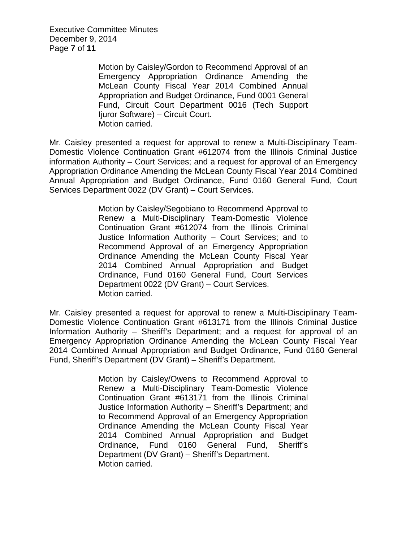Executive Committee Minutes December 9, 2014 Page **7** of **11**

> Motion by Caisley/Gordon to Recommend Approval of an Emergency Appropriation Ordinance Amending the McLean County Fiscal Year 2014 Combined Annual Appropriation and Budget Ordinance, Fund 0001 General Fund, Circuit Court Department 0016 (Tech Support Ijuror Software) – Circuit Court. Motion carried.

Mr. Caisley presented a request for approval to renew a Multi-Disciplinary Team-Domestic Violence Continuation Grant #612074 from the Illinois Criminal Justice information Authority – Court Services; and a request for approval of an Emergency Appropriation Ordinance Amending the McLean County Fiscal Year 2014 Combined Annual Appropriation and Budget Ordinance, Fund 0160 General Fund, Court Services Department 0022 (DV Grant) – Court Services.

> Motion by Caisley/Segobiano to Recommend Approval to Renew a Multi-Disciplinary Team-Domestic Violence Continuation Grant #612074 from the Illinois Criminal Justice Information Authority – Court Services; and to Recommend Approval of an Emergency Appropriation Ordinance Amending the McLean County Fiscal Year 2014 Combined Annual Appropriation and Budget Ordinance, Fund 0160 General Fund, Court Services Department 0022 (DV Grant) – Court Services. Motion carried.

Mr. Caisley presented a request for approval to renew a Multi-Disciplinary Team-Domestic Violence Continuation Grant #613171 from the Illinois Criminal Justice Information Authority – Sheriff's Department; and a request for approval of an Emergency Appropriation Ordinance Amending the McLean County Fiscal Year 2014 Combined Annual Appropriation and Budget Ordinance, Fund 0160 General Fund, Sheriff's Department (DV Grant) – Sheriff's Department.

> Motion by Caisley/Owens to Recommend Approval to Renew a Multi-Disciplinary Team-Domestic Violence Continuation Grant #613171 from the Illinois Criminal Justice Information Authority – Sheriff's Department; and to Recommend Approval of an Emergency Appropriation Ordinance Amending the McLean County Fiscal Year 2014 Combined Annual Appropriation and Budget Ordinance, Fund 0160 General Fund, Sheriff's Department (DV Grant) – Sheriff's Department. Motion carried.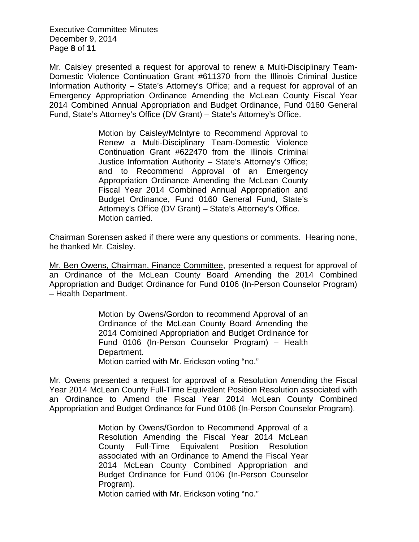Executive Committee Minutes December 9, 2014 Page **8** of **11**

Mr. Caisley presented a request for approval to renew a Multi-Disciplinary Team-Domestic Violence Continuation Grant #611370 from the Illinois Criminal Justice Information Authority – State's Attorney's Office; and a request for approval of an Emergency Appropriation Ordinance Amending the McLean County Fiscal Year 2014 Combined Annual Appropriation and Budget Ordinance, Fund 0160 General Fund, State's Attorney's Office (DV Grant) – State's Attorney's Office.

> Motion by Caisley/McIntyre to Recommend Approval to Renew a Multi-Disciplinary Team-Domestic Violence Continuation Grant #622470 from the Illinois Criminal Justice Information Authority – State's Attorney's Office; and to Recommend Approval of an Emergency Appropriation Ordinance Amending the McLean County Fiscal Year 2014 Combined Annual Appropriation and Budget Ordinance, Fund 0160 General Fund, State's Attorney's Office (DV Grant) – State's Attorney's Office. Motion carried.

Chairman Sorensen asked if there were any questions or comments. Hearing none, he thanked Mr. Caisley.

Mr. Ben Owens, Chairman, Finance Committee, presented a request for approval of an Ordinance of the McLean County Board Amending the 2014 Combined Appropriation and Budget Ordinance for Fund 0106 (In-Person Counselor Program) – Health Department.

> Motion by Owens/Gordon to recommend Approval of an Ordinance of the McLean County Board Amending the 2014 Combined Appropriation and Budget Ordinance for Fund 0106 (In-Person Counselor Program) – Health Department.

Motion carried with Mr. Erickson voting "no."

Mr. Owens presented a request for approval of a Resolution Amending the Fiscal Year 2014 McLean County Full-Time Equivalent Position Resolution associated with an Ordinance to Amend the Fiscal Year 2014 McLean County Combined Appropriation and Budget Ordinance for Fund 0106 (In-Person Counselor Program).

> Motion by Owens/Gordon to Recommend Approval of a Resolution Amending the Fiscal Year 2014 McLean County Full-Time Equivalent Position Resolution associated with an Ordinance to Amend the Fiscal Year 2014 McLean County Combined Appropriation and Budget Ordinance for Fund 0106 (In-Person Counselor Program).

Motion carried with Mr. Erickson voting "no."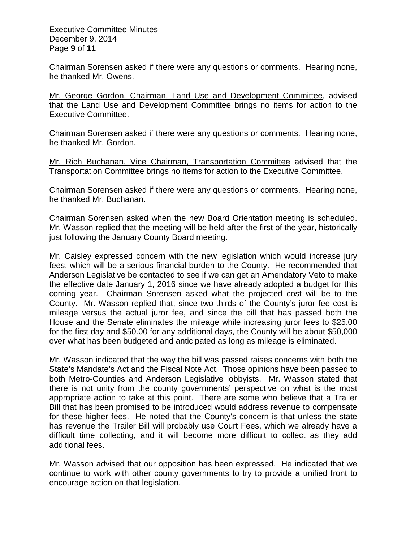Executive Committee Minutes December 9, 2014 Page **9** of **11**

Chairman Sorensen asked if there were any questions or comments. Hearing none, he thanked Mr. Owens.

Mr. George Gordon, Chairman, Land Use and Development Committee, advised that the Land Use and Development Committee brings no items for action to the Executive Committee.

Chairman Sorensen asked if there were any questions or comments. Hearing none, he thanked Mr. Gordon.

Mr. Rich Buchanan, Vice Chairman, Transportation Committee advised that the Transportation Committee brings no items for action to the Executive Committee.

Chairman Sorensen asked if there were any questions or comments. Hearing none, he thanked Mr. Buchanan.

Chairman Sorensen asked when the new Board Orientation meeting is scheduled. Mr. Wasson replied that the meeting will be held after the first of the year, historically just following the January County Board meeting.

Mr. Caisley expressed concern with the new legislation which would increase jury fees, which will be a serious financial burden to the County. He recommended that Anderson Legislative be contacted to see if we can get an Amendatory Veto to make the effective date January 1, 2016 since we have already adopted a budget for this coming year. Chairman Sorensen asked what the projected cost will be to the County. Mr. Wasson replied that, since two-thirds of the County's juror fee cost is mileage versus the actual juror fee, and since the bill that has passed both the House and the Senate eliminates the mileage while increasing juror fees to \$25.00 for the first day and \$50.00 for any additional days, the County will be about \$50,000 over what has been budgeted and anticipated as long as mileage is eliminated.

Mr. Wasson indicated that the way the bill was passed raises concerns with both the State's Mandate's Act and the Fiscal Note Act. Those opinions have been passed to both Metro-Counties and Anderson Legislative lobbyists. Mr. Wasson stated that there is not unity from the county governments' perspective on what is the most appropriate action to take at this point. There are some who believe that a Trailer Bill that has been promised to be introduced would address revenue to compensate for these higher fees. He noted that the County's concern is that unless the state has revenue the Trailer Bill will probably use Court Fees, which we already have a difficult time collecting, and it will become more difficult to collect as they add additional fees.

Mr. Wasson advised that our opposition has been expressed. He indicated that we continue to work with other county governments to try to provide a unified front to encourage action on that legislation.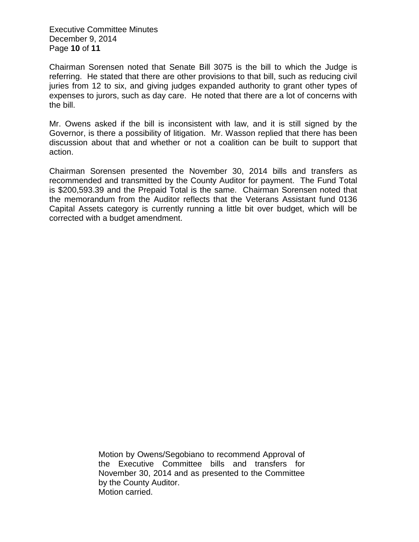Executive Committee Minutes December 9, 2014 Page **10** of **11**

Chairman Sorensen noted that Senate Bill 3075 is the bill to which the Judge is referring. He stated that there are other provisions to that bill, such as reducing civil juries from 12 to six, and giving judges expanded authority to grant other types of expenses to jurors, such as day care. He noted that there are a lot of concerns with the bill.

Mr. Owens asked if the bill is inconsistent with law, and it is still signed by the Governor, is there a possibility of litigation. Mr. Wasson replied that there has been discussion about that and whether or not a coalition can be built to support that action.

Chairman Sorensen presented the November 30, 2014 bills and transfers as recommended and transmitted by the County Auditor for payment. The Fund Total is \$200,593.39 and the Prepaid Total is the same. Chairman Sorensen noted that the memorandum from the Auditor reflects that the Veterans Assistant fund 0136 Capital Assets category is currently running a little bit over budget, which will be corrected with a budget amendment.

> Motion by Owens/Segobiano to recommend Approval of the Executive Committee bills and transfers for November 30, 2014 and as presented to the Committee by the County Auditor. Motion carried.